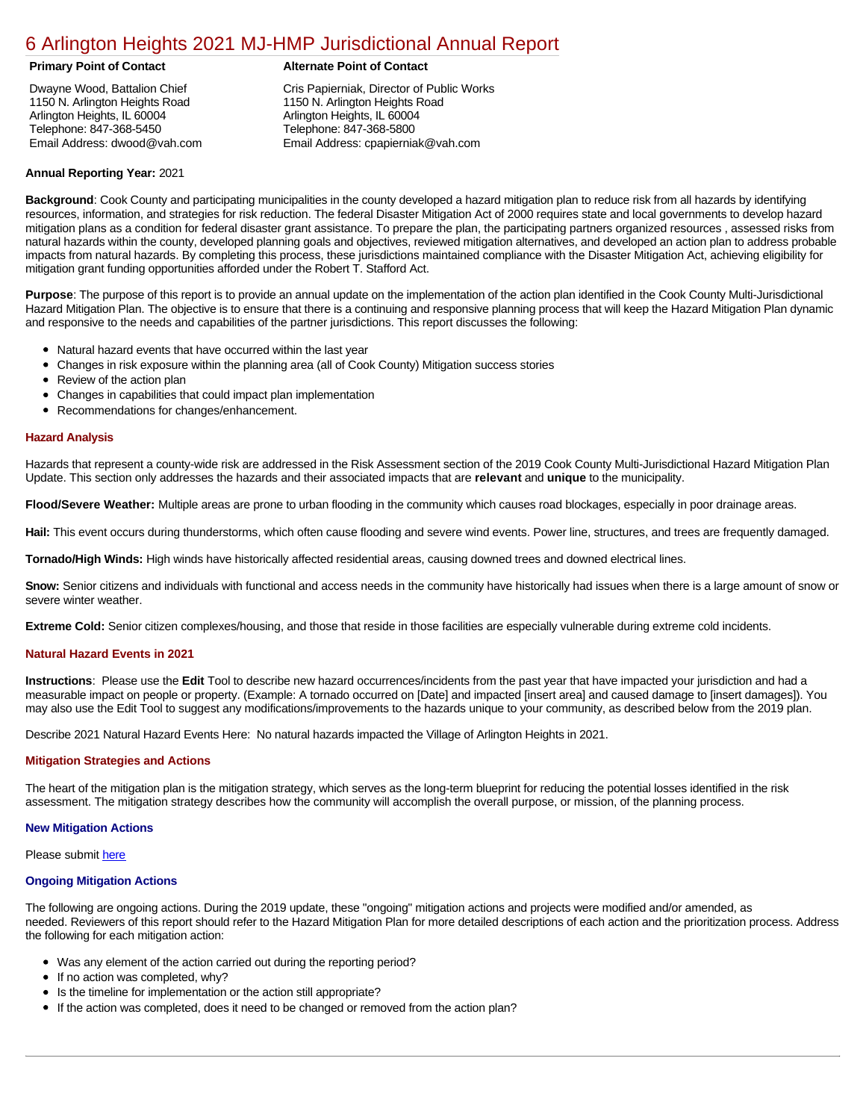### [6 Arlington Heights 2021 MJ-HMP Jurisdictional Annual Report](https://arlington.isc-cemp.com/Cemp/Details?id=8322754)

Dwayne Wood, Battalion Chief 1150 N. Arlington Heights Road Arlington Heights, IL 60004 Telephone: 847-368-5450 Email Address: dwood@vah.com

#### **Primary Point of Contact Alternate Point of Contact**

Cris Papierniak, Director of Public Works 1150 N. Arlington Heights Road Arlington Heights, IL 60004 Telephone: 847-368-5800 Email Address: cpapierniak@vah.com

#### **Annual Reporting Year:** 2021

**Background**: Cook County and participating municipalities in the county developed a hazard mitigation plan to reduce risk from all hazards by identifying resources, information, and strategies for risk reduction. The federal Disaster Mitigation Act of 2000 requires state and local governments to develop hazard mitigation plans as a condition for federal disaster grant assistance. To prepare the plan, the participating partners organized resources , assessed risks from natural hazards within the county, developed planning goals and objectives, reviewed mitigation alternatives, and developed an action plan to address probable impacts from natural hazards. By completing this process, these jurisdictions maintained compliance with the Disaster Mitigation Act, achieving eligibility for mitigation grant funding opportunities afforded under the Robert T. Stafford Act.

**Purpose**: The purpose of this report is to provide an annual update on the implementation of the action plan identified in the Cook County Multi-Jurisdictional Hazard Mitigation Plan. The objective is to ensure that there is a continuing and responsive planning process that will keep the Hazard Mitigation Plan dynamic and responsive to the needs and capabilities of the partner jurisdictions. This report discusses the following:

- Natural hazard events that have occurred within the last year
- $\bullet$ Changes in risk exposure within the planning area (all of Cook County) Mitigation success stories
- Review of the action plan  $\bullet$
- $\bullet$ Changes in capabilities that could impact plan implementation
- Recommendations for changes/enhancement.  $\bullet$

#### **Hazard Analysis**

Hazards that represent a county-wide risk are addressed in the Risk Assessment section of the 2019 Cook County Multi-Jurisdictional Hazard Mitigation Plan Update. This section only addresses the hazards and their associated impacts that are **relevant** and **unique** to the municipality.

**Flood/Severe Weather:** Multiple areas are prone to urban flooding in the community which causes road blockages, especially in poor drainage areas.

**Hail:** This event occurs during thunderstorms, which often cause flooding and severe wind events. Power line, structures, and trees are frequently damaged.

**Tornado/High Winds:** High winds have historically affected residential areas, causing downed trees and downed electrical lines.

**Snow:** Senior citizens and individuals with functional and access needs in the community have historically had issues when there is a large amount of snow or severe winter weather.

**Extreme Cold:** Senior citizen complexes/housing, and those that reside in those facilities are especially vulnerable during extreme cold incidents.

### **Natural Hazard Events in 2021**

**Instructions**: Please use the **Edit** Tool to describe new hazard occurrences/incidents from the past year that have impacted your jurisdiction and had a measurable impact on people or property. (Example: A tornado occurred on [Date] and impacted [insert area] and caused damage to [insert damages]). You may also use the Edit Tool to suggest any modifications/improvements to the hazards unique to your community, as described below from the 2019 plan.

Describe 2021 Natural Hazard Events Here: No natural hazards impacted the Village of Arlington Heights in 2021.

#### **Mitigation Strategies and Actions**

The heart of the mitigation plan is the mitigation strategy, which serves as the long-term blueprint for reducing the potential losses identified in the risk assessment. The mitigation strategy describes how the community will accomplish the overall purpose, or mission, of the planning process.

#### **New Mitigation Actions**

Please submit [here](https://integratedsolutions.wufoo.com/forms/mg21jvf0jn639o/)

#### **Ongoing Mitigation Actions**

The following are ongoing actions. During the 2019 update, these "ongoing" mitigation actions and projects were modified and/or amended, as needed. Reviewers of this report should refer to the Hazard Mitigation Plan for more detailed descriptions of each action and the prioritization process. Address the following for each mitigation action:

- Was any element of the action carried out during the reporting period?
- If no action was completed, why?  $\bullet$
- $\bullet$ Is the timeline for implementation or the action still appropriate?
- If the action was completed, does it need to be changed or removed from the action plan?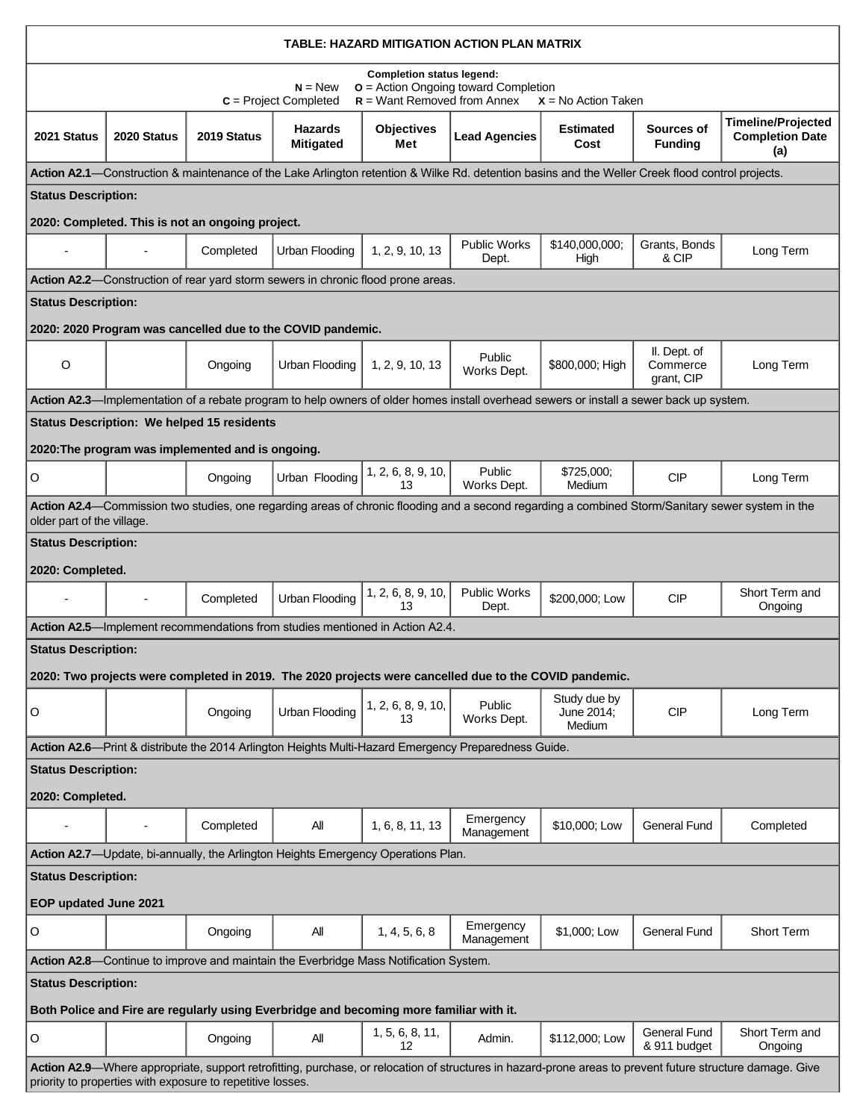| TABLE: HAZARD MITIGATION ACTION PLAN MATRIX                                                                                                                                                                             |             |                                                   |                                                             |                                                                                         |                                                                                                      |                                                                                                                                                  |                                        |                                                                                                                                                  |
|-------------------------------------------------------------------------------------------------------------------------------------------------------------------------------------------------------------------------|-------------|---------------------------------------------------|-------------------------------------------------------------|-----------------------------------------------------------------------------------------|------------------------------------------------------------------------------------------------------|--------------------------------------------------------------------------------------------------------------------------------------------------|----------------------------------------|--------------------------------------------------------------------------------------------------------------------------------------------------|
| <b>Completion status legend:</b><br>$o$ = Action Ongoing toward Completion<br>$N = New$<br>$R =$ Want Removed from Annex<br>$C = Project Completed$<br>$X = No$ Action Taken                                            |             |                                                   |                                                             |                                                                                         |                                                                                                      |                                                                                                                                                  |                                        |                                                                                                                                                  |
| 2021 Status                                                                                                                                                                                                             | 2020 Status | 2019 Status                                       | <b>Hazards</b><br><b>Mitigated</b>                          | <b>Objectives</b><br>Met                                                                | <b>Lead Agencies</b>                                                                                 | <b>Estimated</b><br>Cost                                                                                                                         | Sources of<br><b>Funding</b>           | <b>Timeline/Projected</b><br><b>Completion Date</b><br>(a)                                                                                       |
|                                                                                                                                                                                                                         |             |                                                   |                                                             |                                                                                         |                                                                                                      | Action A2.1—Construction & maintenance of the Lake Arlington retention & Wilke Rd. detention basins and the Weller Creek flood control projects. |                                        |                                                                                                                                                  |
| <b>Status Description:</b>                                                                                                                                                                                              |             |                                                   |                                                             |                                                                                         |                                                                                                      |                                                                                                                                                  |                                        |                                                                                                                                                  |
|                                                                                                                                                                                                                         |             | 2020: Completed. This is not an ongoing project.  |                                                             |                                                                                         |                                                                                                      |                                                                                                                                                  |                                        |                                                                                                                                                  |
|                                                                                                                                                                                                                         |             | Completed                                         | Urban Flooding                                              | 1, 2, 9, 10, 13                                                                         | <b>Public Works</b><br>Dept.                                                                         | \$140,000,000;<br>High                                                                                                                           | Grants, Bonds<br>& CIP                 | Long Term                                                                                                                                        |
|                                                                                                                                                                                                                         |             |                                                   |                                                             | <b>Action A2.2—Construction of rear yard storm sewers in chronic flood prone areas.</b> |                                                                                                      |                                                                                                                                                  |                                        |                                                                                                                                                  |
| <b>Status Description:</b>                                                                                                                                                                                              |             |                                                   |                                                             |                                                                                         |                                                                                                      |                                                                                                                                                  |                                        |                                                                                                                                                  |
|                                                                                                                                                                                                                         |             |                                                   | 2020: 2020 Program was cancelled due to the COVID pandemic. |                                                                                         |                                                                                                      |                                                                                                                                                  |                                        |                                                                                                                                                  |
| O                                                                                                                                                                                                                       |             | Ongoing                                           | Urban Flooding                                              | 1, 2, 9, 10, 13                                                                         | Public<br>Works Dept.                                                                                | \$800,000; High                                                                                                                                  | II. Dept. of<br>Commerce<br>grant, CIP | Long Term                                                                                                                                        |
|                                                                                                                                                                                                                         |             |                                                   |                                                             |                                                                                         |                                                                                                      | Action A2.3—Implementation of a rebate program to help owners of older homes install overhead sewers or install a sewer back up system.          |                                        |                                                                                                                                                  |
|                                                                                                                                                                                                                         |             | <b>Status Description: We helped 15 residents</b> |                                                             |                                                                                         |                                                                                                      |                                                                                                                                                  |                                        |                                                                                                                                                  |
|                                                                                                                                                                                                                         |             | 2020: The program was implemented and is ongoing. |                                                             |                                                                                         |                                                                                                      |                                                                                                                                                  |                                        |                                                                                                                                                  |
| $\mathsf O$                                                                                                                                                                                                             |             | Ongoing                                           | Urban Flooding                                              | 1, 2, 6, 8, 9, 10,<br>13                                                                | Public<br>Works Dept.                                                                                | \$725,000;<br>Medium                                                                                                                             | <b>CIP</b>                             | Long Term                                                                                                                                        |
| older part of the village.                                                                                                                                                                                              |             |                                                   |                                                             |                                                                                         |                                                                                                      |                                                                                                                                                  |                                        | Action A2.4—Commission two studies, one regarding areas of chronic flooding and a second regarding a combined Storm/Sanitary sewer system in the |
| <b>Status Description:</b>                                                                                                                                                                                              |             |                                                   |                                                             |                                                                                         |                                                                                                      |                                                                                                                                                  |                                        |                                                                                                                                                  |
| 2020: Completed.                                                                                                                                                                                                        |             |                                                   |                                                             |                                                                                         |                                                                                                      |                                                                                                                                                  |                                        |                                                                                                                                                  |
|                                                                                                                                                                                                                         |             | Completed                                         | <b>Urban Flooding</b>                                       | 1, 2, 6, 8, 9, 10,<br>13                                                                | <b>Public Works</b><br>Dept.                                                                         | \$200,000; Low                                                                                                                                   | <b>CIP</b>                             | Short Term and<br>Ongoing                                                                                                                        |
| Action A2.5—Implement recommendations from studies mentioned in Action A2.4.                                                                                                                                            |             |                                                   |                                                             |                                                                                         |                                                                                                      |                                                                                                                                                  |                                        |                                                                                                                                                  |
| <b>Status Description:</b><br>2020: Two projects were completed in 2019. The 2020 projects were cancelled due to the COVID pandemic.                                                                                    |             |                                                   |                                                             |                                                                                         |                                                                                                      |                                                                                                                                                  |                                        |                                                                                                                                                  |
|                                                                                                                                                                                                                         |             |                                                   |                                                             |                                                                                         |                                                                                                      |                                                                                                                                                  |                                        |                                                                                                                                                  |
| $\circ$                                                                                                                                                                                                                 |             | Ongoing                                           | Urban Flooding                                              | 1, 2, 6, 8, 9, 10,<br>13                                                                | Public<br>Works Dept.                                                                                | Study due by<br>June 2014;<br>Medium                                                                                                             | <b>CIP</b>                             | Long Term                                                                                                                                        |
|                                                                                                                                                                                                                         |             |                                                   |                                                             |                                                                                         | Action A2.6—Print & distribute the 2014 Arlington Heights Multi-Hazard Emergency Preparedness Guide. |                                                                                                                                                  |                                        |                                                                                                                                                  |
| <b>Status Description:</b>                                                                                                                                                                                              |             |                                                   |                                                             |                                                                                         |                                                                                                      |                                                                                                                                                  |                                        |                                                                                                                                                  |
| 2020: Completed.                                                                                                                                                                                                        |             |                                                   |                                                             |                                                                                         |                                                                                                      |                                                                                                                                                  |                                        |                                                                                                                                                  |
|                                                                                                                                                                                                                         |             | Completed                                         | All                                                         | 1, 6, 8, 11, 13                                                                         | Emergency<br>Management                                                                              | \$10,000; Low                                                                                                                                    | <b>General Fund</b>                    | Completed                                                                                                                                        |
|                                                                                                                                                                                                                         |             |                                                   |                                                             | Action A2.7-Update, bi-annually, the Arlington Heights Emergency Operations Plan.       |                                                                                                      |                                                                                                                                                  |                                        |                                                                                                                                                  |
| <b>Status Description:</b>                                                                                                                                                                                              |             |                                                   |                                                             |                                                                                         |                                                                                                      |                                                                                                                                                  |                                        |                                                                                                                                                  |
| EOP updated June 2021                                                                                                                                                                                                   |             |                                                   |                                                             |                                                                                         |                                                                                                      |                                                                                                                                                  |                                        |                                                                                                                                                  |
| $\circ$                                                                                                                                                                                                                 |             | Ongoing                                           | All                                                         | 1, 4, 5, 6, 8                                                                           | Emergency<br>Management                                                                              | \$1,000; Low                                                                                                                                     | <b>General Fund</b>                    | <b>Short Term</b>                                                                                                                                |
|                                                                                                                                                                                                                         |             |                                                   |                                                             | Action A2.8—Continue to improve and maintain the Everbridge Mass Notification System.   |                                                                                                      |                                                                                                                                                  |                                        |                                                                                                                                                  |
| <b>Status Description:</b>                                                                                                                                                                                              |             |                                                   |                                                             |                                                                                         |                                                                                                      |                                                                                                                                                  |                                        |                                                                                                                                                  |
| Both Police and Fire are regularly using Everbridge and becoming more familiar with it.                                                                                                                                 |             |                                                   |                                                             |                                                                                         |                                                                                                      |                                                                                                                                                  |                                        |                                                                                                                                                  |
| O                                                                                                                                                                                                                       |             | Ongoing                                           | All                                                         | 1, 5, 6, 8, 11,<br>12                                                                   | Admin.                                                                                               | \$112,000; Low                                                                                                                                   | <b>General Fund</b><br>& 911 budget    | Short Term and<br>Ongoing                                                                                                                        |
| Action A2.9—Where appropriate, support retrofitting, purchase, or relocation of structures in hazard-prone areas to prevent future structure damage. Give<br>priority to properties with exposure to repetitive losses. |             |                                                   |                                                             |                                                                                         |                                                                                                      |                                                                                                                                                  |                                        |                                                                                                                                                  |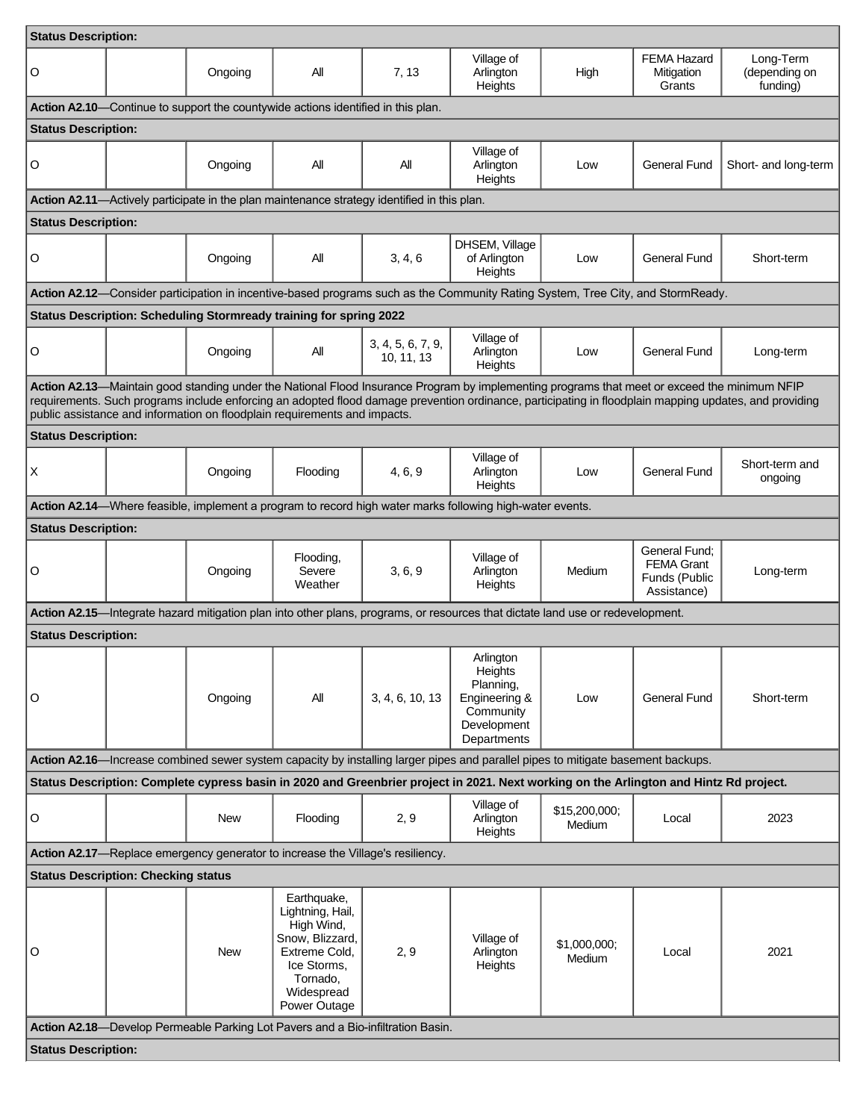| <b>Status Description:</b>                                                                                                     |                                            |            |                                                                                                                                            |                                 |                                                                                                          |                                                                                                                                              |                                                                    |                                                                                                                                                        |
|--------------------------------------------------------------------------------------------------------------------------------|--------------------------------------------|------------|--------------------------------------------------------------------------------------------------------------------------------------------|---------------------------------|----------------------------------------------------------------------------------------------------------|----------------------------------------------------------------------------------------------------------------------------------------------|--------------------------------------------------------------------|--------------------------------------------------------------------------------------------------------------------------------------------------------|
| O                                                                                                                              |                                            | Ongoing    | All                                                                                                                                        | 7, 13                           | Village of<br>Arlington<br>Heights                                                                       | High                                                                                                                                         | <b>FEMA Hazard</b><br>Mitigation<br>Grants                         | Long-Term<br>(depending on<br>funding)                                                                                                                 |
|                                                                                                                                |                                            |            | Action A2.10—Continue to support the countywide actions identified in this plan.                                                           |                                 |                                                                                                          |                                                                                                                                              |                                                                    |                                                                                                                                                        |
| <b>Status Description:</b>                                                                                                     |                                            |            |                                                                                                                                            |                                 |                                                                                                          |                                                                                                                                              |                                                                    |                                                                                                                                                        |
| O                                                                                                                              |                                            | Ongoing    | All                                                                                                                                        | All                             | Village of<br>Arlington<br>Heights                                                                       | Low                                                                                                                                          | <b>General Fund</b>                                                | Short- and long-term                                                                                                                                   |
|                                                                                                                                |                                            |            | Action A2.11—Actively participate in the plan maintenance strategy identified in this plan.                                                |                                 |                                                                                                          |                                                                                                                                              |                                                                    |                                                                                                                                                        |
| <b>Status Description:</b>                                                                                                     |                                            |            |                                                                                                                                            |                                 |                                                                                                          |                                                                                                                                              |                                                                    |                                                                                                                                                        |
| O                                                                                                                              |                                            | Ongoing    | All                                                                                                                                        | 3, 4, 6                         | DHSEM, Village<br>of Arlington<br>Heights                                                                | Low                                                                                                                                          | <b>General Fund</b>                                                | Short-term                                                                                                                                             |
|                                                                                                                                |                                            |            |                                                                                                                                            |                                 |                                                                                                          | Action A2.12—Consider participation in incentive-based programs such as the Community Rating System, Tree City, and StormReady.              |                                                                    |                                                                                                                                                        |
|                                                                                                                                |                                            |            | Status Description: Scheduling Stormready training for spring 2022                                                                         |                                 |                                                                                                          |                                                                                                                                              |                                                                    |                                                                                                                                                        |
| O                                                                                                                              |                                            | Ongoing    | All                                                                                                                                        | 3, 4, 5, 6, 7, 9,<br>10, 11, 13 | Village of<br>Arlington<br>Heights                                                                       | Low                                                                                                                                          | <b>General Fund</b>                                                | Long-term                                                                                                                                              |
|                                                                                                                                |                                            |            | public assistance and information on floodplain requirements and impacts.                                                                  |                                 |                                                                                                          | Action A2.13—Maintain good standing under the National Flood Insurance Program by implementing programs that meet or exceed the minimum NFIP |                                                                    | requirements. Such programs include enforcing an adopted flood damage prevention ordinance, participating in floodplain mapping updates, and providing |
| <b>Status Description:</b>                                                                                                     |                                            |            |                                                                                                                                            |                                 |                                                                                                          |                                                                                                                                              |                                                                    |                                                                                                                                                        |
| X                                                                                                                              |                                            | Ongoing    | Flooding                                                                                                                                   | 4, 6, 9                         | Village of<br>Arlington<br>Heights                                                                       | Low                                                                                                                                          | <b>General Fund</b>                                                | Short-term and<br>ongoing                                                                                                                              |
|                                                                                                                                |                                            |            |                                                                                                                                            |                                 | Action A2.14—Where feasible, implement a program to record high water marks following high-water events. |                                                                                                                                              |                                                                    |                                                                                                                                                        |
| <b>Status Description:</b>                                                                                                     |                                            |            |                                                                                                                                            |                                 |                                                                                                          |                                                                                                                                              |                                                                    |                                                                                                                                                        |
| O                                                                                                                              |                                            | Ongoing    | Flooding,<br>Severe<br>Weather                                                                                                             | 3, 6, 9                         | Village of<br>Arlington<br>Heights                                                                       | Medium                                                                                                                                       | General Fund:<br><b>FEMA Grant</b><br>Funds (Public<br>Assistance) | Long-term                                                                                                                                              |
| Action A2.15—Integrate hazard mitigation plan into other plans, programs, or resources that dictate land use or redevelopment. |                                            |            |                                                                                                                                            |                                 |                                                                                                          |                                                                                                                                              |                                                                    |                                                                                                                                                        |
| <b>Status Description:</b>                                                                                                     |                                            |            |                                                                                                                                            |                                 |                                                                                                          |                                                                                                                                              |                                                                    |                                                                                                                                                        |
| O                                                                                                                              |                                            | Ongoing    | All                                                                                                                                        | 3, 4, 6, 10, 13                 | Arlington<br>Heights<br>Planning,<br>Engineering &<br>Community<br>Development<br>Departments            | Low                                                                                                                                          | <b>General Fund</b>                                                | Short-term                                                                                                                                             |
|                                                                                                                                |                                            |            |                                                                                                                                            |                                 |                                                                                                          | Action A2.16—Increase combined sewer system capacity by installing larger pipes and parallel pipes to mitigate basement backups.             |                                                                    |                                                                                                                                                        |
|                                                                                                                                |                                            |            |                                                                                                                                            |                                 |                                                                                                          | Status Description: Complete cypress basin in 2020 and Greenbrier project in 2021. Next working on the Arlington and Hintz Rd project.       |                                                                    |                                                                                                                                                        |
| O                                                                                                                              |                                            | <b>New</b> | Flooding                                                                                                                                   | 2, 9                            | Village of<br>Arlington<br>Heights                                                                       | \$15,200,000;<br>Medium                                                                                                                      | Local                                                              | 2023                                                                                                                                                   |
|                                                                                                                                |                                            |            | Action A2.17-Replace emergency generator to increase the Village's resiliency.                                                             |                                 |                                                                                                          |                                                                                                                                              |                                                                    |                                                                                                                                                        |
|                                                                                                                                | <b>Status Description: Checking status</b> |            |                                                                                                                                            |                                 |                                                                                                          |                                                                                                                                              |                                                                    |                                                                                                                                                        |
| O                                                                                                                              |                                            | New        | Earthquake,<br>Lightning, Hail,<br>High Wind,<br>Snow, Blizzard,<br>Extreme Cold,<br>Ice Storms,<br>Tornado,<br>Widespread<br>Power Outage | 2, 9                            | Village of<br>Arlington<br>Heights                                                                       | \$1,000,000;<br>Medium                                                                                                                       | Local                                                              | 2021                                                                                                                                                   |
|                                                                                                                                |                                            |            | Action A2.18-Develop Permeable Parking Lot Pavers and a Bio-infiltration Basin.                                                            |                                 |                                                                                                          |                                                                                                                                              |                                                                    |                                                                                                                                                        |
| <b>Status Description:</b>                                                                                                     |                                            |            |                                                                                                                                            |                                 |                                                                                                          |                                                                                                                                              |                                                                    |                                                                                                                                                        |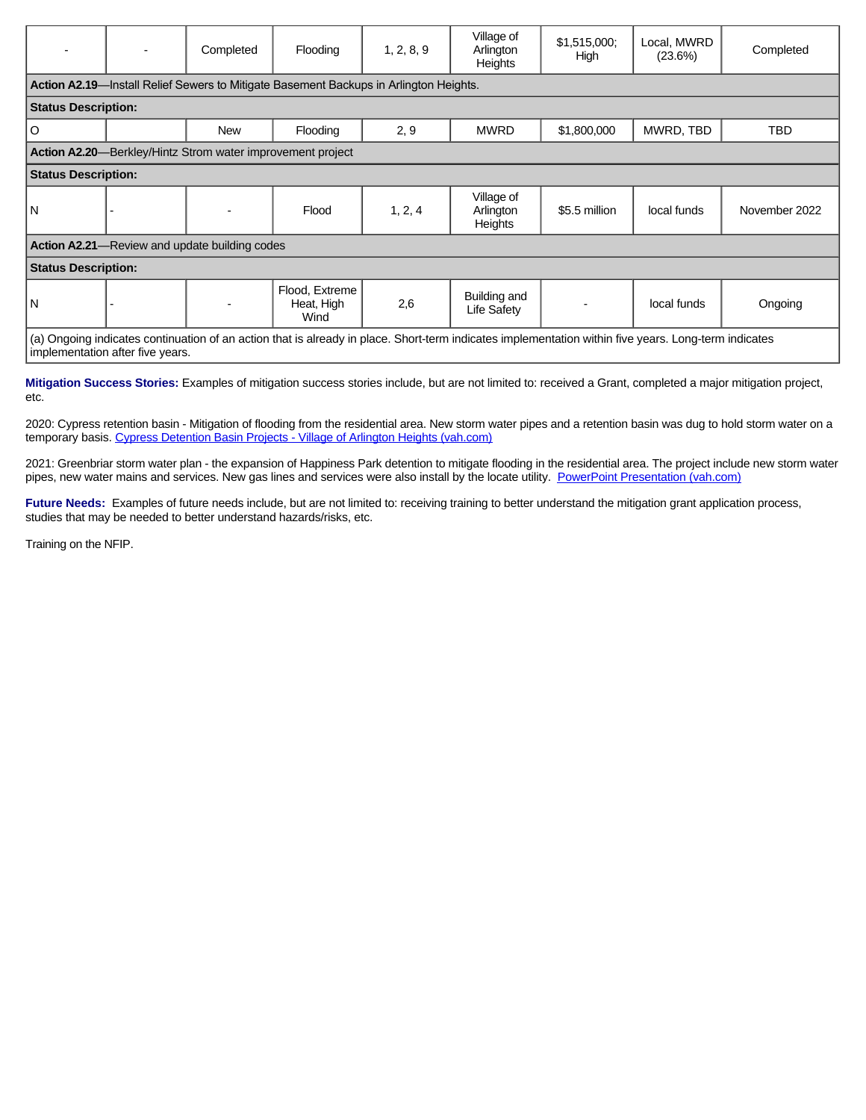|                                                                                                                                                                                          |                                                                                       | Completed                                                  | Flooding                             | 1, 2, 8, 9 | Village of<br>Arlington<br><b>Heights</b> | \$1,515,000<br>High | Local, MWRD<br>(23.6%) | Completed     |
|------------------------------------------------------------------------------------------------------------------------------------------------------------------------------------------|---------------------------------------------------------------------------------------|------------------------------------------------------------|--------------------------------------|------------|-------------------------------------------|---------------------|------------------------|---------------|
|                                                                                                                                                                                          | Action A2.19-Install Relief Sewers to Mitigate Basement Backups in Arlington Heights. |                                                            |                                      |            |                                           |                     |                        |               |
| <b>Status Description:</b>                                                                                                                                                               |                                                                                       |                                                            |                                      |            |                                           |                     |                        |               |
| $\circ$                                                                                                                                                                                  |                                                                                       | <b>New</b>                                                 | Flooding                             | 2, 9       | <b>MWRD</b>                               | \$1,800,000         | MWRD, TBD              | <b>TBD</b>    |
|                                                                                                                                                                                          |                                                                                       | Action A2.20-Berkley/Hintz Strom water improvement project |                                      |            |                                           |                     |                        |               |
| <b>Status Description:</b>                                                                                                                                                               |                                                                                       |                                                            |                                      |            |                                           |                     |                        |               |
| l N                                                                                                                                                                                      |                                                                                       |                                                            | Flood                                | 1, 2, 4    | Village of<br>Arlington<br>Heights        | \$5.5 million       | local funds            | November 2022 |
| <b>Action A2.21</b> —Review and update building codes                                                                                                                                    |                                                                                       |                                                            |                                      |            |                                           |                     |                        |               |
| <b>Status Description:</b>                                                                                                                                                               |                                                                                       |                                                            |                                      |            |                                           |                     |                        |               |
| l N                                                                                                                                                                                      |                                                                                       |                                                            | Flood, Extreme<br>Heat, High<br>Wind | 2,6        | Building and<br>Life Safety               |                     | local funds            | Ongoing       |
| (a) Ongoing indicates continuation of an action that is already in place. Short-term indicates implementation within five years. Long-term indicates<br>implementation after five years. |                                                                                       |                                                            |                                      |            |                                           |                     |                        |               |

**Mitigation Success Stories:** Examples of mitigation success stories include, but are not limited to: received a Grant, completed a major mitigation project, etc.

2020: Cypress retention basin - Mitigation of flooding from the residential area. New storm water pipes and a retention basin was dug to hold storm water on a temporary basis. [Cypress Detention Basin Projects - Village of Arlington Heights \(vah.com\)](https://vah.com/our_community/archived_news/cypress_detention_basin_projects)

2021: Greenbriar storm water plan - the expansion of Happiness Park detention to mitigate flooding in the residential area. The project include new storm water pipes, new water mains and services. New gas lines and services were also install by the locate utility. [PowerPoint Presentation \(vah.com\)](https://www.vah.com/common/pages/DisplayFile.aspx?itemId=17478566)

Future Needs: Examples of future needs include, but are not limited to: receiving training to better understand the mitigation grant application process, studies that may be needed to better understand hazards/risks, etc.

Training on the NFIP.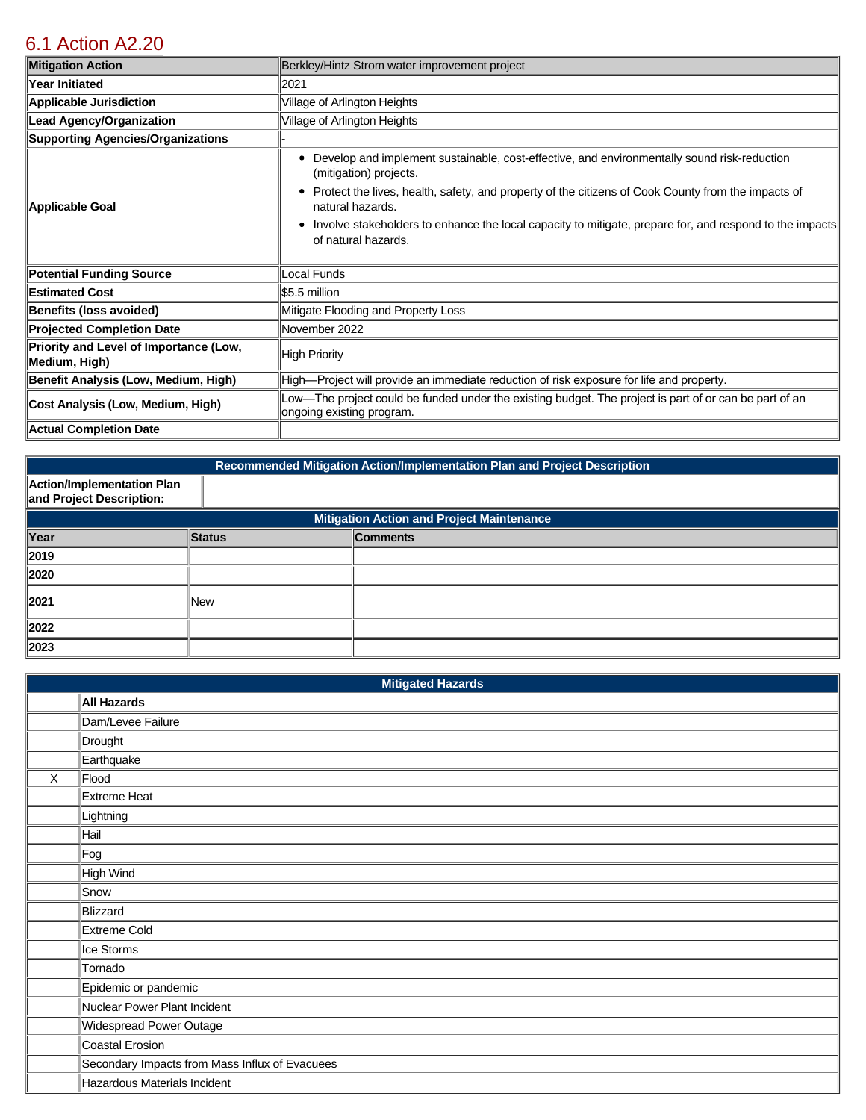# [6.1 Action A2.20](https://arlington.isc-cemp.com/Cemp/Details?id=8335479)

| <b>Mitigation Action</b>                                | Berkley/Hintz Strom water improvement project                                                                                                                                                                                                                                                                                                                                                    |
|---------------------------------------------------------|--------------------------------------------------------------------------------------------------------------------------------------------------------------------------------------------------------------------------------------------------------------------------------------------------------------------------------------------------------------------------------------------------|
| Year Initiated                                          | 2021                                                                                                                                                                                                                                                                                                                                                                                             |
| <b>Applicable Jurisdiction</b>                          | Village of Arlington Heights                                                                                                                                                                                                                                                                                                                                                                     |
| <b>Lead Agency/Organization</b>                         | Village of Arlington Heights                                                                                                                                                                                                                                                                                                                                                                     |
| <b>Supporting Agencies/Organizations</b>                |                                                                                                                                                                                                                                                                                                                                                                                                  |
| Applicable Goal                                         | Develop and implement sustainable, cost-effective, and environmentally sound risk-reduction<br>٠<br>(mitigation) projects.<br>Protect the lives, health, safety, and property of the citizens of Cook County from the impacts of<br>٠<br>natural hazards.<br>Involve stakeholders to enhance the local capacity to mitigate, prepare for, and respond to the impacts<br>٠<br>of natural hazards. |
| <b>Potential Funding Source</b>                         | Local Funds                                                                                                                                                                                                                                                                                                                                                                                      |
| <b>Estimated Cost</b>                                   | \$5.5 million                                                                                                                                                                                                                                                                                                                                                                                    |
| <b>Benefits (loss avoided)</b>                          | Mitigate Flooding and Property Loss                                                                                                                                                                                                                                                                                                                                                              |
| <b>Projected Completion Date</b>                        | November 2022                                                                                                                                                                                                                                                                                                                                                                                    |
| Priority and Level of Importance (Low,<br>Medium, High) | High Priority                                                                                                                                                                                                                                                                                                                                                                                    |
| Benefit Analysis (Low, Medium, High)                    | High—Project will provide an immediate reduction of risk exposure for life and property.                                                                                                                                                                                                                                                                                                         |
| Cost Analysis (Low, Medium, High)                       | Low—The project could be funded under the existing budget. The project is part of or can be part of an<br>ongoing existing program.                                                                                                                                                                                                                                                              |
| <b>Actual Completion Date</b>                           |                                                                                                                                                                                                                                                                                                                                                                                                  |

| Recommended Mitigation Action/Implementation Plan and Project Description |               |                 |  |  |  |
|---------------------------------------------------------------------------|---------------|-----------------|--|--|--|
| Action/Implementation Plan<br>and Project Description:                    |               |                 |  |  |  |
| <b>Mitigation Action and Project Maintenance</b>                          |               |                 |  |  |  |
| Year                                                                      | <b>Status</b> | <b>Comments</b> |  |  |  |
| 2019                                                                      |               |                 |  |  |  |
| 2020                                                                      |               |                 |  |  |  |
| 2021                                                                      | <b>New</b>    |                 |  |  |  |
| 2022                                                                      |               |                 |  |  |  |
| 2023                                                                      |               |                 |  |  |  |

|         | <b>Mitigated Hazards</b>                       |
|---------|------------------------------------------------|
|         | All Hazards                                    |
|         | Dam/Levee Failure                              |
|         | Drought                                        |
|         | Earthquake                                     |
| $\sf X$ | Flood                                          |
|         | Extreme Heat                                   |
|         | Lightning                                      |
|         | Hail                                           |
|         | ∥Fog                                           |
|         | High Wind                                      |
|         | Snow                                           |
|         | Blizzard                                       |
|         | Extreme Cold                                   |
|         | Ice Storms                                     |
|         | Tornado                                        |
|         | Epidemic or pandemic                           |
|         | Nuclear Power Plant Incident                   |
|         | Widespread Power Outage                        |
|         | Coastal Erosion                                |
|         | Secondary Impacts from Mass Influx of Evacuees |
|         | Hazardous Materials Incident                   |